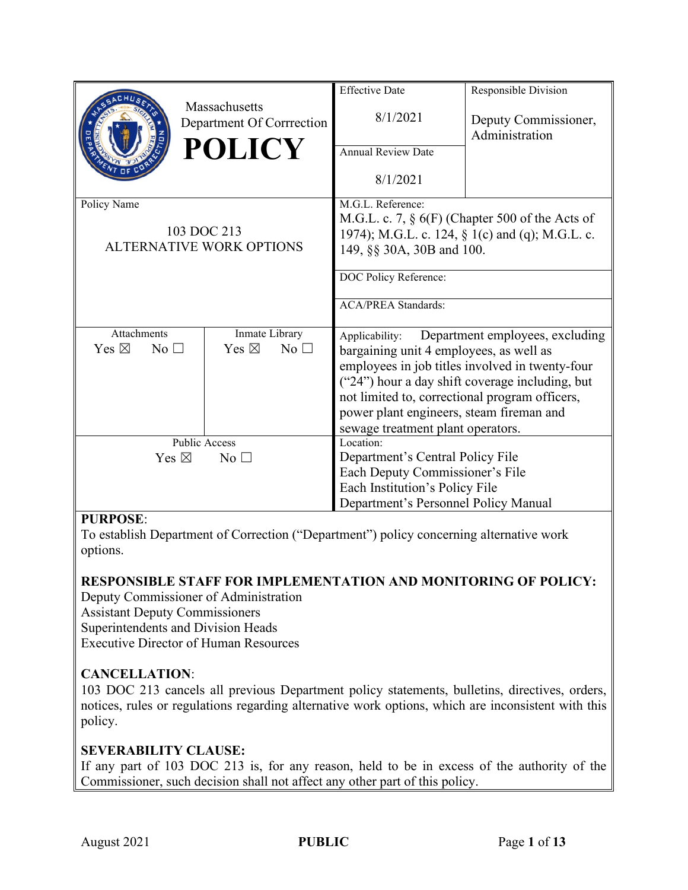|                                    |                                                 | <b>Effective Date</b>                              | Responsible Division                            |
|------------------------------------|-------------------------------------------------|----------------------------------------------------|-------------------------------------------------|
|                                    | Massachusetts<br>Department Of Corrrection      | 8/1/2021                                           | Deputy Commissioner,<br>Administration          |
|                                    | <b>POLICY</b>                                   | <b>Annual Review Date</b>                          |                                                 |
|                                    |                                                 | 8/1/2021                                           |                                                 |
| Policy Name                        |                                                 | M.G.L. Reference:                                  |                                                 |
|                                    |                                                 | M.G.L. c. 7, $\S$ 6(F) (Chapter 500 of the Acts of |                                                 |
|                                    | 103 DOC 213                                     |                                                    | 1974); M.G.L. c. 124, § 1(c) and (q); M.G.L. c. |
| <b>ALTERNATIVE WORK OPTIONS</b>    |                                                 | 149, §§ 30A, 30B and 100.                          |                                                 |
|                                    |                                                 | DOC Policy Reference:                              |                                                 |
|                                    |                                                 |                                                    |                                                 |
|                                    |                                                 | <b>ACA/PREA Standards:</b>                         |                                                 |
| Attachments                        | Inmate Library                                  | Applicability:                                     | Department employees, excluding                 |
| Yes $\boxtimes$<br>No <sub>1</sub> | Yes $\boxtimes$<br>No                           | bargaining unit 4 employees, as well as            |                                                 |
|                                    |                                                 |                                                    | employees in job titles involved in twenty-four |
|                                    | ("24") hour a day shift coverage including, but |                                                    |                                                 |
|                                    |                                                 | not limited to, correctional program officers,     |                                                 |
|                                    |                                                 | power plant engineers, steam fireman and           |                                                 |
|                                    |                                                 | sewage treatment plant operators.                  |                                                 |
| <b>Public Access</b>               |                                                 | Location:                                          |                                                 |
| Yes $\boxtimes$<br>No <sub>1</sub> |                                                 | Department's Central Policy File                   |                                                 |
|                                    |                                                 | Each Deputy Commissioner's File                    |                                                 |
|                                    |                                                 | Each Institution's Policy File                     |                                                 |
|                                    |                                                 | Department's Personnel Policy Manual               |                                                 |

## **PURPOSE**:

To establish Department of Correction ("Department") policy concerning alternative work options.

# **RESPONSIBLE STAFF FOR IMPLEMENTATION AND MONITORING OF POLICY:**

Deputy Commissioner of Administration Assistant Deputy Commissioners Superintendents and Division Heads Executive Director of Human Resources

## **CANCELLATION**:

103 DOC 213 cancels all previous Department policy statements, bulletins, directives, orders, notices, rules or regulations regarding alternative work options, which are inconsistent with this policy.

#### **SEVERABILITY CLAUSE:**

If any part of 103 DOC 213 is, for any reason, held to be in excess of the authority of the Commissioner, such decision shall not affect any other part of this policy.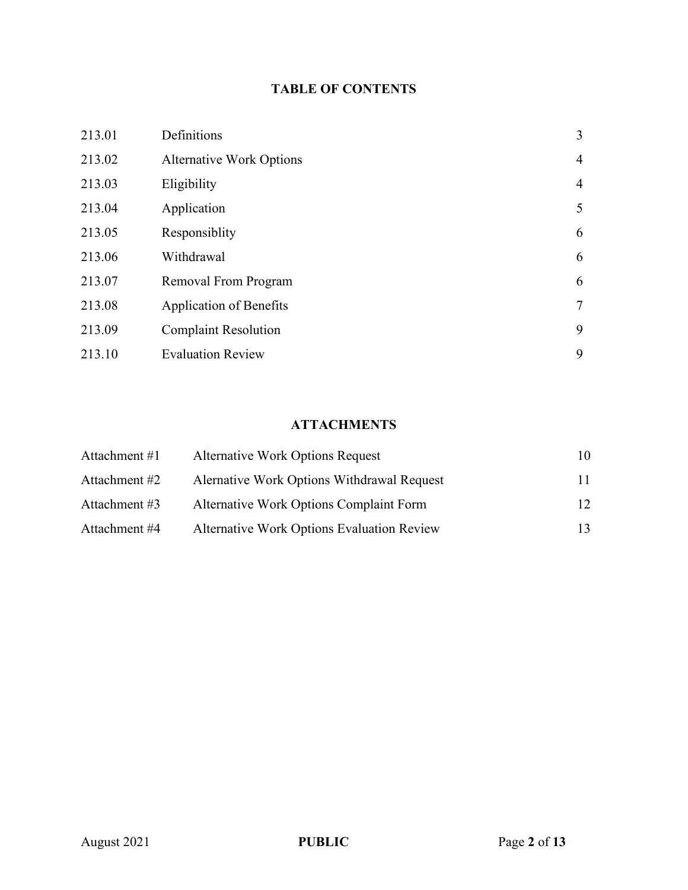# **TABLE OF CONTENTS**

| 213.01 | Definitions                     | 3              |
|--------|---------------------------------|----------------|
| 213.02 | <b>Alternative Work Options</b> | $\overline{4}$ |
| 213.03 | Eligibility                     | $\overline{4}$ |
| 213.04 | Application                     | 5              |
| 213.05 | Responsiblity                   | 6              |
| 213.06 | Withdrawal                      | 6              |
| 213.07 | Removal From Program            | 6              |
| 213.08 | Application of Benefits         | $\overline{7}$ |
| 213.09 | <b>Complaint Resolution</b>     | 9              |
| 213.10 | <b>Evaluation Review</b>        | 9              |

# **ATTACHMENTS**

| Attachment #1 | <b>Alternative Work Options Request</b>           | 10 |
|---------------|---------------------------------------------------|----|
| Attachment #2 | Alernative Work Options Withdrawal Request        | 11 |
| Attachment #3 | Alternative Work Options Complaint Form           | 12 |
| Attachment #4 | <b>Alternative Work Options Evaluation Review</b> | 13 |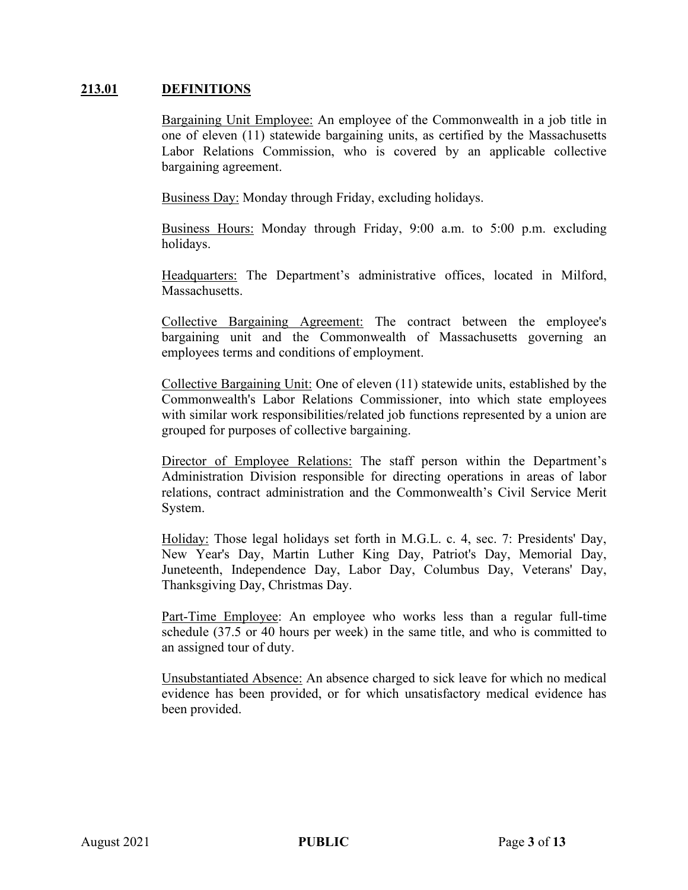#### **213.01 DEFINITIONS**

Bargaining Unit Employee: An employee of the Commonwealth in a job title in one of eleven (11) statewide bargaining units, as certified by the Massachusetts Labor Relations Commission, who is covered by an applicable collective bargaining agreement.

Business Day: Monday through Friday, excluding holidays.

Business Hours: Monday through Friday, 9:00 a.m. to 5:00 p.m. excluding holidays.

Headquarters: The Department's administrative offices, located in Milford, Massachusetts.

Collective Bargaining Agreement: The contract between the employee's bargaining unit and the Commonwealth of Massachusetts governing an employees terms and conditions of employment.

Collective Bargaining Unit: One of eleven (11) statewide units, established by the Commonwealth's Labor Relations Commissioner, into which state employees with similar work responsibilities/related job functions represented by a union are grouped for purposes of collective bargaining.

Director of Employee Relations: The staff person within the Department's Administration Division responsible for directing operations in areas of labor relations, contract administration and the Commonwealth's Civil Service Merit System.

Holiday: Those legal holidays set forth in M.G.L. c. 4, sec. 7: Presidents' Day, New Year's Day, Martin Luther King Day, Patriot's Day, Memorial Day, Juneteenth, Independence Day, Labor Day, Columbus Day, Veterans' Day, Thanksgiving Day, Christmas Day.

Part-Time Employee: An employee who works less than a regular full-time schedule (37.5 or 40 hours per week) in the same title, and who is committed to an assigned tour of duty.

Unsubstantiated Absence: An absence charged to sick leave for which no medical evidence has been provided, or for which unsatisfactory medical evidence has been provided.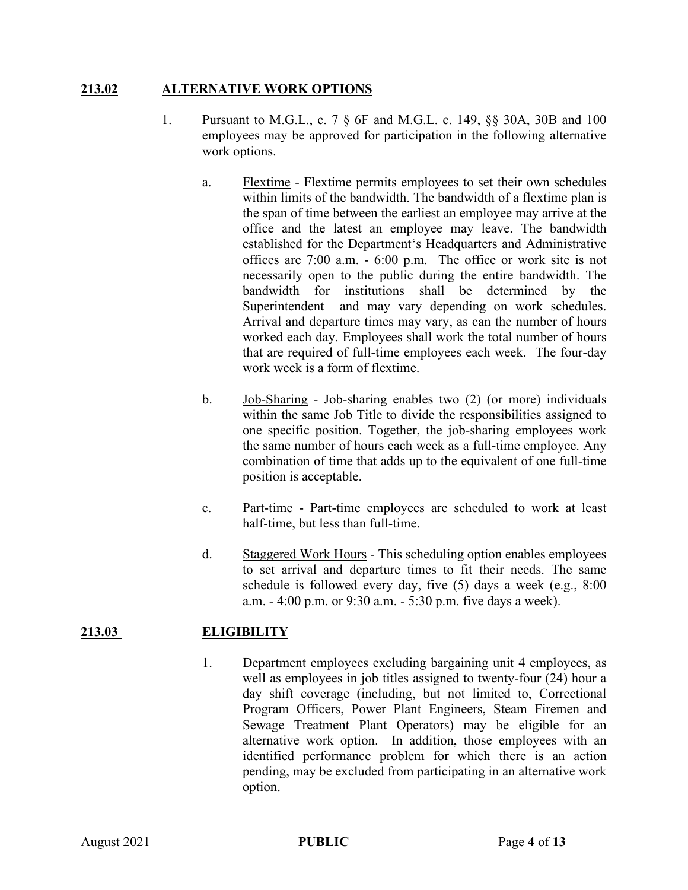#### **213.02 ALTERNATIVE WORK OPTIONS**

- 1. Pursuant to M.G.L., c. 7 § 6F and M.G.L. c. 149, §§ 30A, 30B and 100 employees may be approved for participation in the following alternative work options.
	- a. Flextime Flextime permits employees to set their own schedules within limits of the bandwidth. The bandwidth of a flextime plan is the span of time between the earliest an employee may arrive at the office and the latest an employee may leave. The bandwidth established for the Department's Headquarters and Administrative offices are 7:00 a.m. - 6:00 p.m. The office or work site is not necessarily open to the public during the entire bandwidth. The bandwidth for institutions shall be determined by the Superintendent and may vary depending on work schedules. Arrival and departure times may vary, as can the number of hours worked each day. Employees shall work the total number of hours that are required of full-time employees each week. The four-day work week is a form of flextime.
	- b. Job-Sharing Job-sharing enables two (2) (or more) individuals within the same Job Title to divide the responsibilities assigned to one specific position. Together, the job-sharing employees work the same number of hours each week as a full-time employee. Any combination of time that adds up to the equivalent of one full-time position is acceptable.
	- c. Part-time Part-time employees are scheduled to work at least half-time, but less than full-time.
	- d. Staggered Work Hours This scheduling option enables employees to set arrival and departure times to fit their needs. The same schedule is followed every day, five (5) days a week (e.g., 8:00 a.m. - 4:00 p.m. or 9:30 a.m. - 5:30 p.m. five days a week).

## **213.03 ELIGIBILITY**

1. Department employees excluding bargaining unit 4 employees, as well as employees in job titles assigned to twenty-four (24) hour a day shift coverage (including, but not limited to, Correctional Program Officers, Power Plant Engineers, Steam Firemen and Sewage Treatment Plant Operators) may be eligible for an alternative work option. In addition, those employees with an identified performance problem for which there is an action pending, may be excluded from participating in an alternative work option.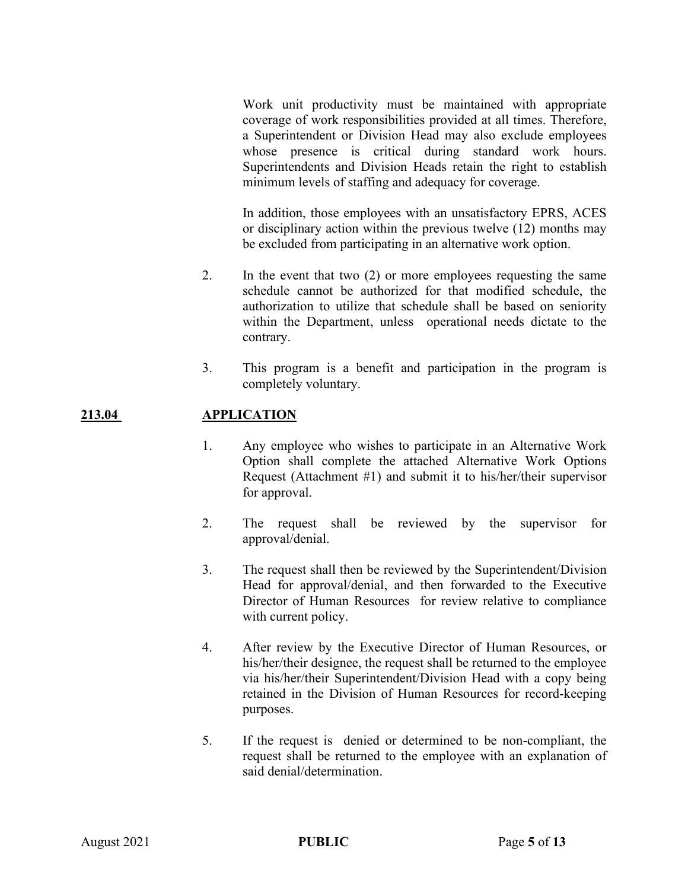Work unit productivity must be maintained with appropriate coverage of work responsibilities provided at all times. Therefore, a Superintendent or Division Head may also exclude employees whose presence is critical during standard work hours. Superintendents and Division Heads retain the right to establish minimum levels of staffing and adequacy for coverage.

In addition, those employees with an unsatisfactory EPRS, ACES or disciplinary action within the previous twelve (12) months may be excluded from participating in an alternative work option.

- 2. In the event that two (2) or more employees requesting the same schedule cannot be authorized for that modified schedule, the authorization to utilize that schedule shall be based on seniority within the Department, unless operational needs dictate to the contrary.
- 3. This program is a benefit and participation in the program is completely voluntary.

#### **213.04 APPLICATION**

- 1. Any employee who wishes to participate in an Alternative Work Option shall complete the attached Alternative Work Options Request (Attachment #1) and submit it to his/her/their supervisor for approval.
- 2. The request shall be reviewed by the supervisor for approval/denial.
- 3. The request shall then be reviewed by the Superintendent/Division Head for approval/denial, and then forwarded to the Executive Director of Human Resources for review relative to compliance with current policy.
- 4. After review by the Executive Director of Human Resources, or his/her/their designee, the request shall be returned to the employee via his/her/their Superintendent/Division Head with a copy being retained in the Division of Human Resources for record-keeping purposes.
- 5. If the request is denied or determined to be non-compliant, the request shall be returned to the employee with an explanation of said denial/determination.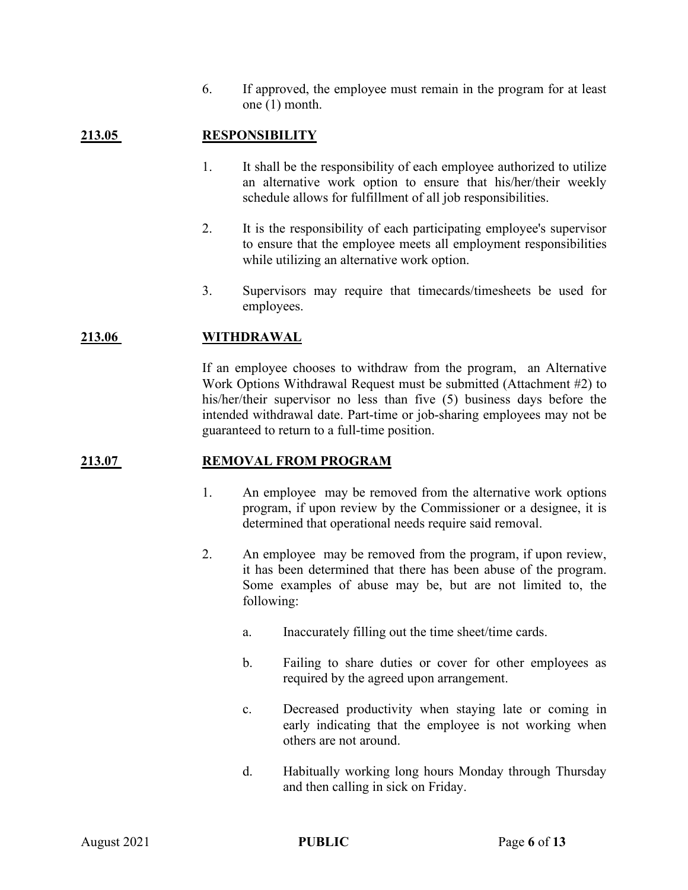6. If approved, the employee must remain in the program for at least one (1) month.

## **213.05 RESPONSIBILITY**

- 1. It shall be the responsibility of each employee authorized to utilize an alternative work option to ensure that his/her/their weekly schedule allows for fulfillment of all job responsibilities.
- 2. It is the responsibility of each participating employee's supervisor to ensure that the employee meets all employment responsibilities while utilizing an alternative work option.
- 3. Supervisors may require that timecards/timesheets be used for employees.

#### **213.06 WITHDRAWAL**

If an employee chooses to withdraw from the program, an Alternative Work Options Withdrawal Request must be submitted (Attachment #2) to his/her/their supervisor no less than five (5) business days before the intended withdrawal date. Part-time or job-sharing employees may not be guaranteed to return to a full-time position.

#### **213.07 REMOVAL FROM PROGRAM**

- 1. An employee may be removed from the alternative work options program, if upon review by the Commissioner or a designee, it is determined that operational needs require said removal.
- 2. An employee may be removed from the program, if upon review, it has been determined that there has been abuse of the program. Some examples of abuse may be, but are not limited to, the following:
	- a. Inaccurately filling out the time sheet/time cards.
	- b. Failing to share duties or cover for other employees as required by the agreed upon arrangement.
	- c. Decreased productivity when staying late or coming in early indicating that the employee is not working when others are not around.
	- d. Habitually working long hours Monday through Thursday and then calling in sick on Friday.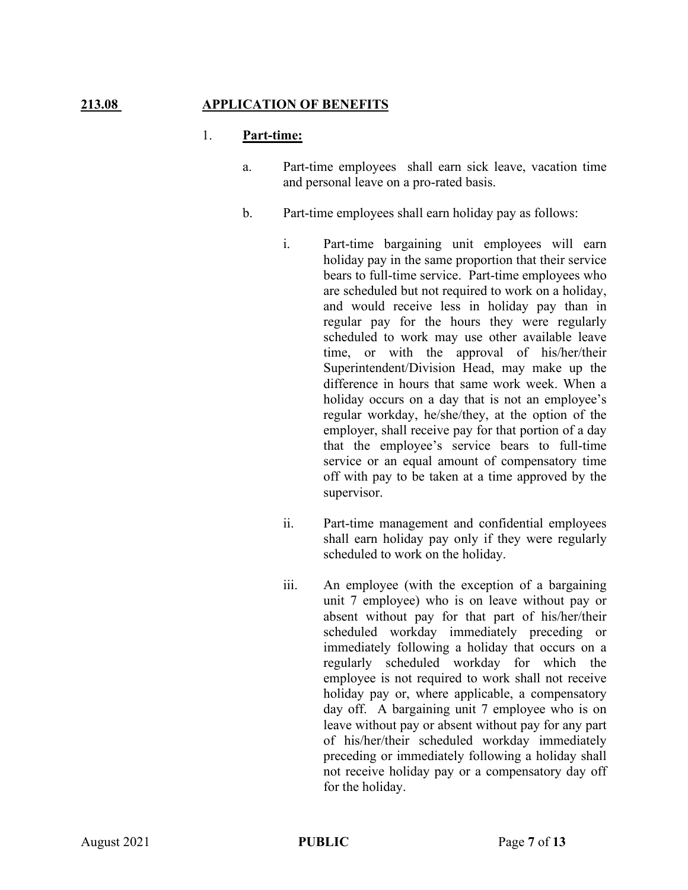### **213.08 APPLICATION OF BENEFITS**

#### 1. **Part-time:**

- a. Part-time employees shall earn sick leave, vacation time and personal leave on a pro-rated basis.
- b. Part-time employees shall earn holiday pay as follows:
	- i. Part-time bargaining unit employees will earn holiday pay in the same proportion that their service bears to full-time service. Part-time employees who are scheduled but not required to work on a holiday, and would receive less in holiday pay than in regular pay for the hours they were regularly scheduled to work may use other available leave time, or with the approval of his/her/their Superintendent/Division Head, may make up the difference in hours that same work week. When a holiday occurs on a day that is not an employee's regular workday, he/she/they, at the option of the employer, shall receive pay for that portion of a day that the employee's service bears to full-time service or an equal amount of compensatory time off with pay to be taken at a time approved by the supervisor.
	- ii. Part-time management and confidential employees shall earn holiday pay only if they were regularly scheduled to work on the holiday.
	- iii. An employee (with the exception of a bargaining unit 7 employee) who is on leave without pay or absent without pay for that part of his/her/their scheduled workday immediately preceding or immediately following a holiday that occurs on a regularly scheduled workday for which the employee is not required to work shall not receive holiday pay or, where applicable, a compensatory day off. A bargaining unit 7 employee who is on leave without pay or absent without pay for any part of his/her/their scheduled workday immediately preceding or immediately following a holiday shall not receive holiday pay or a compensatory day off for the holiday.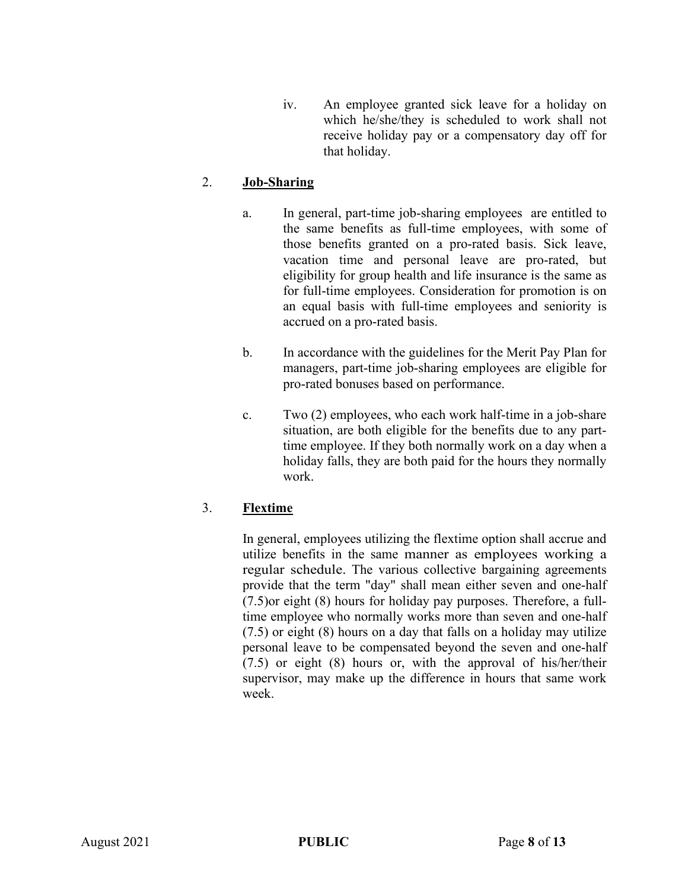iv. An employee granted sick leave for a holiday on which he/she/they is scheduled to work shall not receive holiday pay or a compensatory day off for that holiday.

## 2. **Job-Sharing**

- a. In general, part-time job-sharing employees are entitled to the same benefits as full-time employees, with some of those benefits granted on a pro-rated basis. Sick leave, vacation time and personal leave are pro-rated, but eligibility for group health and life insurance is the same as for full-time employees. Consideration for promotion is on an equal basis with full-time employees and seniority is accrued on a pro-rated basis.
- b. In accordance with the guidelines for the Merit Pay Plan for managers, part-time job-sharing employees are eligible for pro-rated bonuses based on performance.
- c. Two (2) employees, who each work half-time in a job-share situation, are both eligible for the benefits due to any parttime employee. If they both normally work on a day when a holiday falls, they are both paid for the hours they normally work.

#### 3. **Flextime**

In general, employees utilizing the flextime option shall accrue and utilize benefits in the same manner as employees working a regular schedule. The various collective bargaining agreements provide that the term "day" shall mean either seven and one-half (7.5)or eight (8) hours for holiday pay purposes. Therefore, a fulltime employee who normally works more than seven and one-half (7.5) or eight (8) hours on a day that falls on a holiday may utilize personal leave to be compensated beyond the seven and one-half (7.5) or eight (8) hours or, with the approval of his/her/their supervisor, may make up the difference in hours that same work week.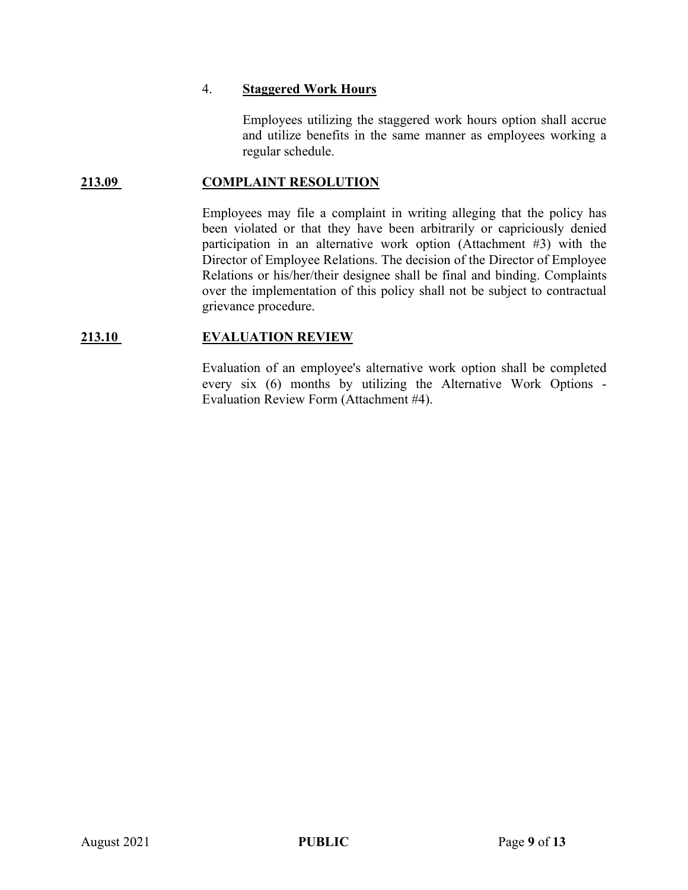#### 4. **Staggered Work Hours**

Employees utilizing the staggered work hours option shall accrue and utilize benefits in the same manner as employees working a regular schedule.

#### **213.09 COMPLAINT RESOLUTION**

Employees may file a complaint in writing alleging that the policy has been violated or that they have been arbitrarily or capriciously denied participation in an alternative work option (Attachment #3) with the Director of Employee Relations. The decision of the Director of Employee Relations or his/her/their designee shall be final and binding. Complaints over the implementation of this policy shall not be subject to contractual grievance procedure.

#### **213.10 EVALUATION REVIEW**

Evaluation of an employee's alternative work option shall be completed every six (6) months by utilizing the Alternative Work Options - Evaluation Review Form (Attachment #4).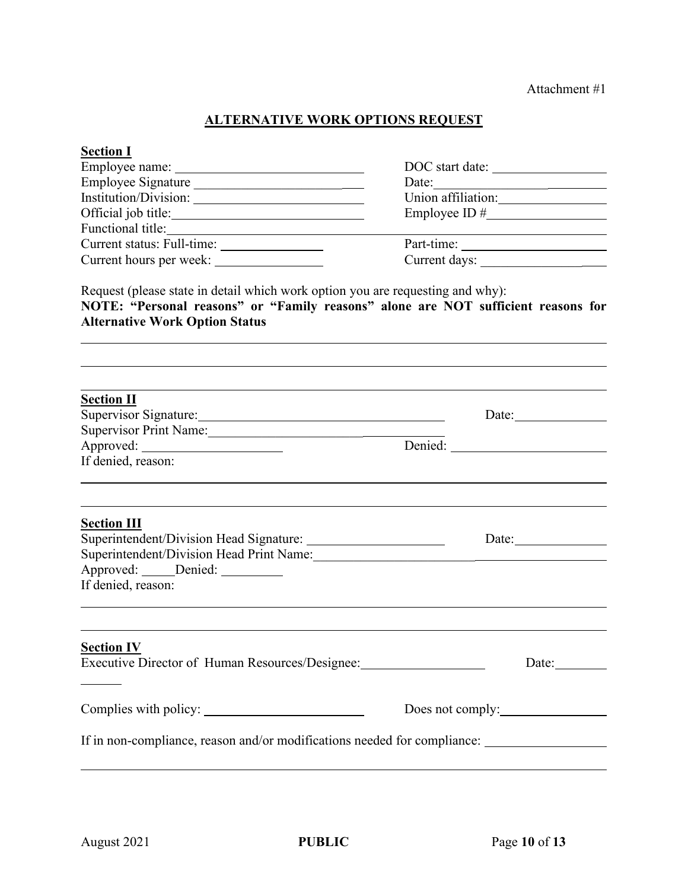# **ALTERNATIVE WORK OPTIONS REQUEST**

| <b>Section I</b>                                                                                                                                                                                             |                                                                                 |  |  |
|--------------------------------------------------------------------------------------------------------------------------------------------------------------------------------------------------------------|---------------------------------------------------------------------------------|--|--|
|                                                                                                                                                                                                              | DOC start date:                                                                 |  |  |
| Employee Signature                                                                                                                                                                                           |                                                                                 |  |  |
| Institution/Division:                                                                                                                                                                                        | Union affiliation:                                                              |  |  |
| Official job title:                                                                                                                                                                                          |                                                                                 |  |  |
| Functional title:                                                                                                                                                                                            | the contract of the contract of the contract of the contract of the contract of |  |  |
|                                                                                                                                                                                                              |                                                                                 |  |  |
|                                                                                                                                                                                                              | Current days:                                                                   |  |  |
| Request (please state in detail which work option you are requesting and why):<br>NOTE: "Personal reasons" or "Family reasons" alone are NOT sufficient reasons for<br><b>Alternative Work Option Status</b> |                                                                                 |  |  |
| <b>Section II</b><br>Supervisor Signature:                                                                                                                                                                   | Date:                                                                           |  |  |
| Supervisor Print Name:                                                                                                                                                                                       |                                                                                 |  |  |
|                                                                                                                                                                                                              |                                                                                 |  |  |
| If denied, reason:                                                                                                                                                                                           |                                                                                 |  |  |
| <b>Section III</b>                                                                                                                                                                                           |                                                                                 |  |  |
|                                                                                                                                                                                                              |                                                                                 |  |  |
| Superintendent/Division Head Print Name:<br>1988 - Marie Manne, and an american proportional and the Manne Manne Manne Manne Manne Manne Manne Manne Mann                                                    |                                                                                 |  |  |
| Approved: Denied:                                                                                                                                                                                            |                                                                                 |  |  |
| If denied, reason:                                                                                                                                                                                           |                                                                                 |  |  |
| <b>Section IV</b><br>Executive Director of Human Resources/Designee: ________________________________                                                                                                        | Date:                                                                           |  |  |
|                                                                                                                                                                                                              | Does not comply:                                                                |  |  |
|                                                                                                                                                                                                              |                                                                                 |  |  |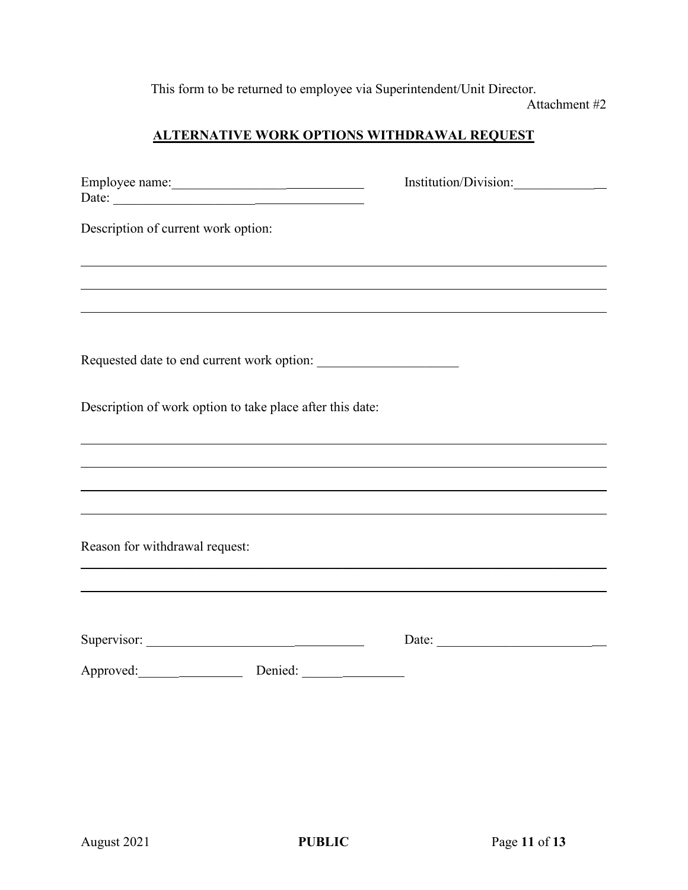This form to be returned to employee via Superintendent/Unit Director. Attachment #2

# **ALTERNATIVE WORK OPTIONS WITHDRAWAL REQUEST**

| Employee name:<br>Date:                                                          | Institution/Division: |
|----------------------------------------------------------------------------------|-----------------------|
| Description of current work option:                                              |                       |
|                                                                                  |                       |
| ,我们也不会有一个人的人,我们也不会有一个人的人,我们也不会有一个人的人,我们也不会有一个人的人。""我们的人,我们也不会有一个人的人,我们也不会有一个人的人, |                       |
|                                                                                  |                       |
| Requested date to end current work option:                                       |                       |
| Description of work option to take place after this date:                        |                       |
|                                                                                  |                       |
|                                                                                  |                       |
| ,我们也不会有什么。""我们的人,我们也不会有什么?""我们的人,我们也不会有什么?""我们的人,我们也不会有什么?""我们的人,我们也不会有什么?""我们的人 |                       |
| Reason for withdrawal request:                                                   |                       |
|                                                                                  |                       |
|                                                                                  | Date:                 |
| Approved: Denied: Denied:                                                        |                       |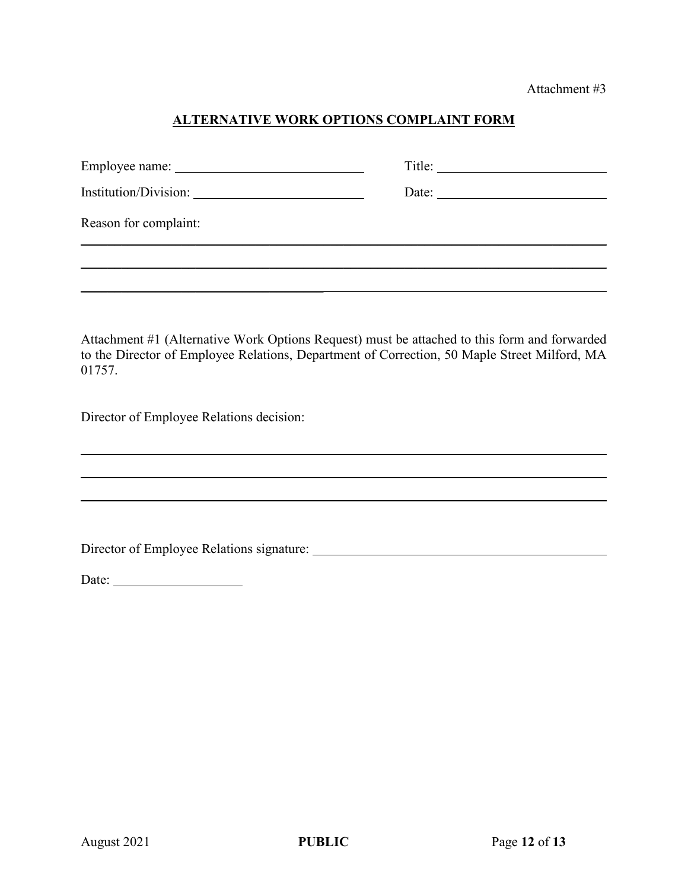Attachment #3

## **ALTERNATIVE WORK OPTIONS COMPLAINT FORM**

|                       | Title: |
|-----------------------|--------|
| Institution/Division: | Date:  |
| Reason for complaint: |        |
|                       |        |
|                       |        |

Attachment #1 (Alternative Work Options Request) must be attached to this form and forwarded to the Director of Employee Relations, Department of Correction, 50 Maple Street Milford, MA 01757.

\_\_\_\_\_\_\_\_\_\_\_\_\_\_\_\_\_\_\_\_\_\_\_\_\_\_\_\_\_\_\_\_\_\_\_\_\_\_\_\_\_\_\_\_\_\_\_\_\_\_\_\_\_\_\_\_\_\_\_\_\_\_\_\_\_\_\_\_\_\_\_\_\_\_\_\_\_\_

\_\_\_\_\_\_\_\_\_\_\_\_\_\_\_\_\_\_\_\_\_\_\_\_\_\_\_\_\_\_\_\_\_\_\_\_\_\_\_\_\_\_\_\_\_\_\_\_\_\_\_\_\_\_\_\_\_\_\_\_\_\_\_\_\_\_\_\_\_\_\_\_\_\_\_\_\_\_

Director of Employee Relations decision:

Director of Employee Relations signature:

 $\overline{\phantom{a}}$  , where  $\overline{\phantom{a}}$  , where  $\overline{\phantom{a}}$  ,  $\overline{\phantom{a}}$  ,  $\overline{\phantom{a}}$  ,  $\overline{\phantom{a}}$  ,  $\overline{\phantom{a}}$  ,  $\overline{\phantom{a}}$  ,  $\overline{\phantom{a}}$  ,  $\overline{\phantom{a}}$  ,  $\overline{\phantom{a}}$  ,  $\overline{\phantom{a}}$  ,  $\overline{\phantom{a}}$  ,  $\overline{\phantom{a}}$  ,  $\overline{\phantom{a}}$  ,

Date: